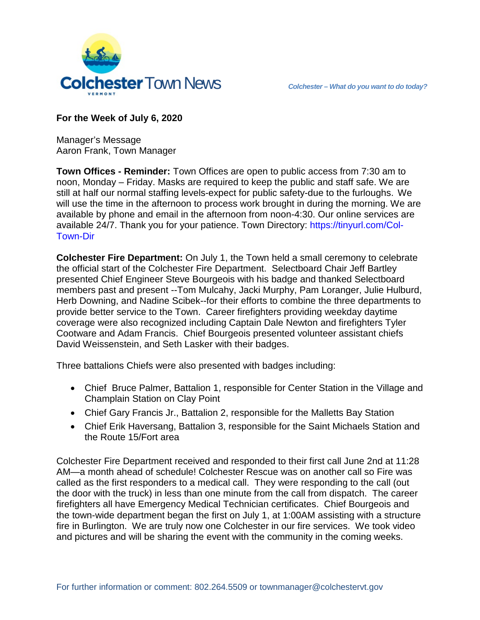



## **For the Week of July 6, 2020**

Manager's Message Aaron Frank, Town Manager

**Town Offices - Reminder:** Town Offices are open to public access from 7:30 am to noon, Monday – Friday. Masks are required to keep the public and staff safe. We are still at half our normal staffing levels-expect for public safety-due to the furloughs. We will use the time in the afternoon to process work brought in during the morning. We are available by phone and email in the afternoon from noon-4:30. Our online services are available 24/7. Thank you for your patience. Town Directory: https://tinyurl.com/Col-Town-Dir

**Colchester Fire Department:** On July 1, the Town held a small ceremony to celebrate the official start of the Colchester Fire Department. Selectboard Chair Jeff Bartley presented Chief Engineer Steve Bourgeois with his badge and thanked Selectboard members past and present --Tom Mulcahy, Jacki Murphy, Pam Loranger, Julie Hulburd, Herb Downing, and Nadine Scibek--for their efforts to combine the three departments to provide better service to the Town. Career firefighters providing weekday daytime coverage were also recognized including Captain Dale Newton and firefighters Tyler Cootware and Adam Francis. Chief Bourgeois presented volunteer assistant chiefs David Weissenstein, and Seth Lasker with their badges.

Three battalions Chiefs were also presented with badges including:

- Chief Bruce Palmer, Battalion 1, responsible for Center Station in the Village and Champlain Station on Clay Point
- Chief Gary Francis Jr., Battalion 2, responsible for the Malletts Bay Station
- Chief Erik Haversang, Battalion 3, responsible for the Saint Michaels Station and the Route 15/Fort area

Colchester Fire Department received and responded to their first call June 2nd at 11:28 AM—a month ahead of schedule! Colchester Rescue was on another call so Fire was called as the first responders to a medical call. They were responding to the call (out the door with the truck) in less than one minute from the call from dispatch. The career firefighters all have Emergency Medical Technician certificates. Chief Bourgeois and the town-wide department began the first on July 1, at 1:00AM assisting with a structure fire in Burlington. We are truly now one Colchester in our fire services. We took video and pictures and will be sharing the event with the community in the coming weeks.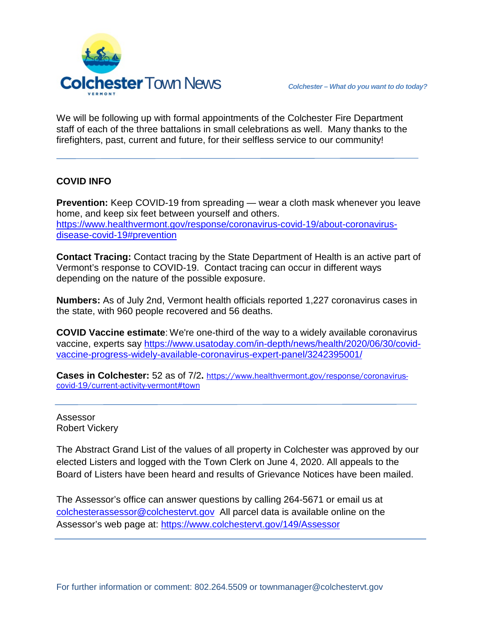

We will be following up with formal appointments of the Colchester Fire Department staff of each of the three battalions in small celebrations as well. Many thanks to the firefighters, past, current and future, for their selfless service to our community!

## **COVID INFO**

**Prevention:** Keep COVID-19 from spreading — wear a cloth mask whenever you leave home, and keep six feet between yourself and others. [https://www.healthvermont.gov/response/coronavirus-covid-19/about-coronavirus](https://www.healthvermont.gov/response/coronavirus-covid-19/about-coronavirus-disease-covid-19#prevention)[disease-covid-19#prevention](https://www.healthvermont.gov/response/coronavirus-covid-19/about-coronavirus-disease-covid-19#prevention)

**Contact Tracing:** Contact tracing by the State Department of Health is an active part of Vermont's response to COVID-19. Contact tracing can occur in different ways depending on the nature of the possible exposure.

**Numbers:** As of July 2nd, Vermont health officials reported 1,227 coronavirus cases in the state, with 960 people recovered and 56 deaths.

**COVID Vaccine estimate**: We're one-third of the way to a widely available coronavirus vaccine, experts say [https://www.usatoday.com/in-depth/news/health/2020/06/30/covid](https://www.usatoday.com/in-depth/news/health/2020/06/30/covid-vaccine-progress-widely-available-coronavirus-expert-panel/3242395001/)[vaccine-progress-widely-available-coronavirus-expert-panel/3242395001/](https://www.usatoday.com/in-depth/news/health/2020/06/30/covid-vaccine-progress-widely-available-coronavirus-expert-panel/3242395001/)

**Cases in Colchester:** 52 as of 7/2**.** [https://www.healthvermont.gov/response/coronavirus](https://www.healthvermont.gov/response/coronavirus-covid-19/current-activity-vermont#town)[covid-19/current-activity-vermont#town](https://www.healthvermont.gov/response/coronavirus-covid-19/current-activity-vermont#town)

Assessor Robert Vickery

The Abstract Grand List of the values of all property in Colchester was approved by our elected Listers and logged with the Town Clerk on June 4, 2020. All appeals to the Board of Listers have been heard and results of Grievance Notices have been mailed.

The Assessor's office can answer questions by calling 264-5671 or email us at [colchesterassessor@colchestervt.gov](mailto:colchesterassessor@colchestervt.gov) All parcel data is available online on the Assessor's web page at:<https://www.colchestervt.gov/149/Assessor>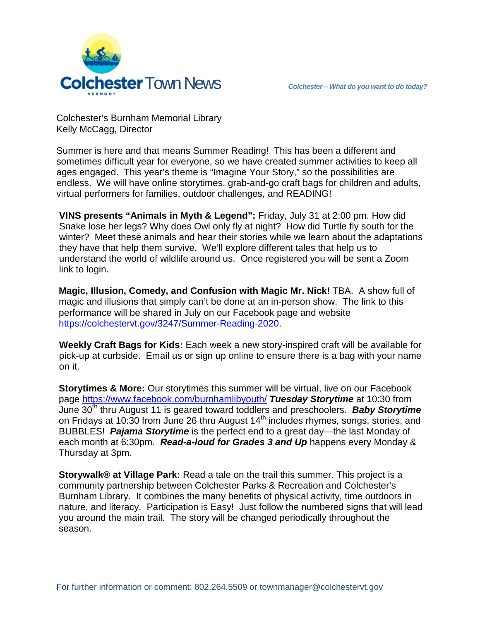

Colchester's Burnham Memorial Library Kelly McCagg, Director

Summer is here and that means Summer Reading! This has been a different and sometimes difficult year for everyone, so we have created summer activities to keep all ages engaged. This year's theme is "Imagine Your Story," so the possibilities are endless. We will have online storytimes, grab-and-go craft bags for children and adults, virtual performers for families, outdoor challenges, and READING!

**VINS presents "Animals in Myth & Legend":** Friday, July 31 at 2:00 pm. How did Snake lose her legs? Why does Owl only fly at night? How did Turtle fly south for the winter? Meet these animals and hear their stories while we learn about the adaptations they have that help them survive. We'll explore different tales that help us to understand the world of wildlife around us. Once registered you will be sent a Zoom link to login.

**Magic, Illusion, Comedy, and Confusion with Magic Mr. Nick!** TBA. A show full of magic and illusions that simply can't be done at an in-person show. The link to this performance will be shared in July on our Facebook page and website [https://colchestervt.gov/3247/Summer-Reading-2020.](https://colchestervt.gov/3247/Summer-Reading-2020)

**Weekly Craft Bags for Kids:** Each week a new story-inspired craft will be available for pick-up at curbside. Email us or sign up online to ensure there is a bag with your name on it.

**Storytimes & More:** Our storytimes this summer will be virtual, live on our Facebook page<https://www.facebook.com/burnhamlibyouth/> *Tuesday Storytime* at 10:30 from June 30<sup>th</sup> thru August 11 is geared toward toddlers and preschoolers. **Baby Storytime** on Fridays at 10:30 from June 26 thru August 14<sup>th</sup> includes rhymes, songs, stories, and BUBBLES! *Pajama Storytime* is the perfect end to a great day—the last Monday of each month at 6:30pm. *Read-a-loud for Grades 3 and Up* happens every Monday & Thursday at 3pm.

**Storywalk® at Village Park:** Read a tale on the trail this summer. This project is a community partnership between Colchester Parks & Recreation and Colchester's Burnham Library. It combines the many benefits of physical activity, time outdoors in nature, and literacy. Participation is Easy! Just follow the numbered signs that will lead you around the main trail. The story will be changed periodically throughout the season.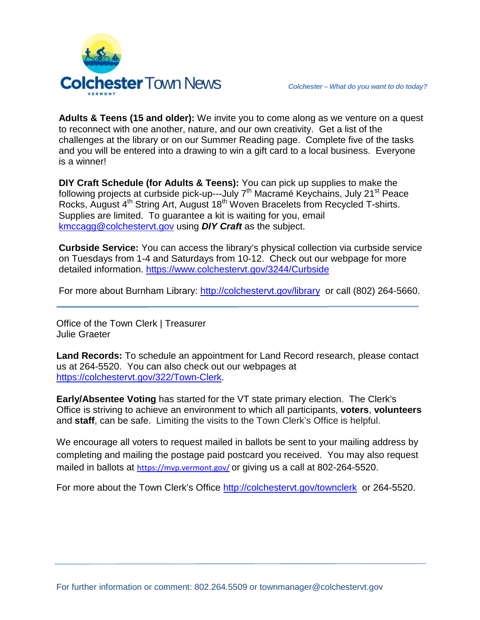

**Adults & Teens (15 and older):** We invite you to come along as we venture on a quest to reconnect with one another, nature, and our own creativity. Get a list of the challenges at the library or on our Summer Reading page. Complete five of the tasks and you will be entered into a drawing to win a gift card to a local business. Everyone is a winner!

**DIY Craft Schedule (for Adults & Teens):** You can pick up supplies to make the following projects at curbside pick-up---July 7<sup>th</sup> Macramé Keychains, July 21<sup>st</sup> Peace Rocks, August 4<sup>th</sup> String Art, August 18<sup>th</sup> Woven Bracelets from Recycled T-shirts. Supplies are limited. To guarantee a kit is waiting for you, email [kmccagg@colchestervt.gov](mailto:kmccagg@colchestervt.gov) using *DIY Craft* as the subject.

**Curbside Service:** You can access the library's physical collection via curbside service on Tuesdays from 1-4 and Saturdays from 10-12. Check out our webpage for more detailed information.<https://www.colchestervt.gov/3244/Curbside>

For more about Burnham Library:<http://colchestervt.gov/library> or call (802) 264-5660.

Office of the Town Clerk | Treasurer Julie Graeter

**Land Records:** To schedule an appointment for Land Record research, please contact us at 264-5520. You can also check out our webpages at [https://colchestervt.gov/322/Town-Clerk.](https://colchestervt.gov/322/Town-Clerk)

**Early/Absentee Voting** has started for the VT state primary election. The Clerk's Office is striving to achieve an environment to which all participants, **voters**, **volunteers** and **staff**, can be safe. Limiting the visits to the Town Clerk's Office is helpful.

We encourage all voters to request mailed in ballots be sent to your mailing address by completing and mailing the postage paid postcard you received. You may also request mailed in ballots at <https://mvp.vermont.gov/> or giving us a call at 802-264-5520.

For more about the Town Clerk's Office<http://colchestervt.gov/townclerk>or 264-5520.